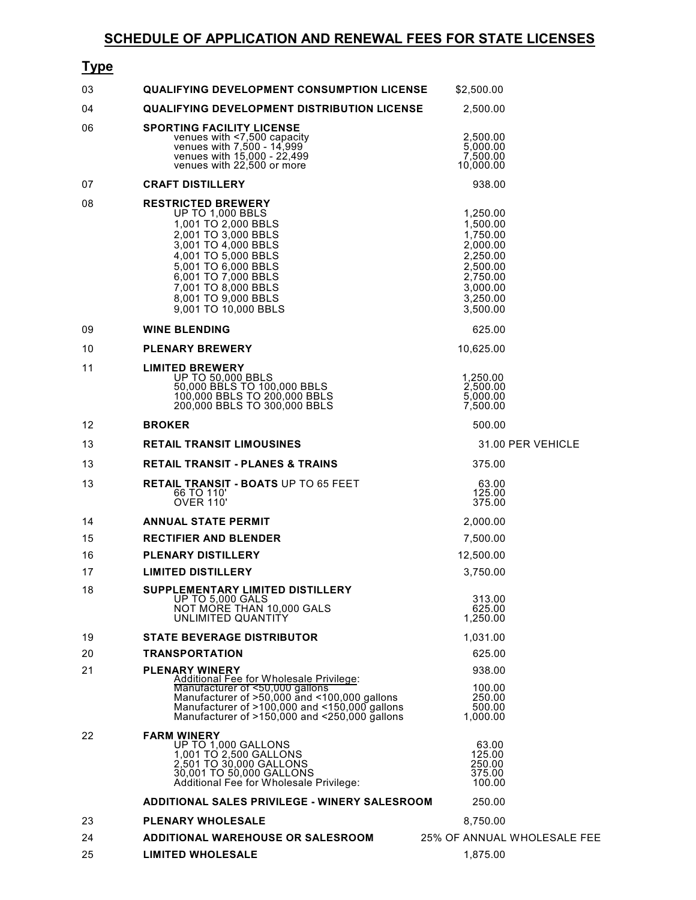| <u>Type</u> |                                                                                                                                                                                                                                                                      |                                                                                                                      |                             |
|-------------|----------------------------------------------------------------------------------------------------------------------------------------------------------------------------------------------------------------------------------------------------------------------|----------------------------------------------------------------------------------------------------------------------|-----------------------------|
| 03          | <b>QUALIFYING DEVELOPMENT CONSUMPTION LICENSE</b>                                                                                                                                                                                                                    | \$2,500.00                                                                                                           |                             |
| 04          | <b>QUALIFYING DEVELOPMENT DISTRIBUTION LICENSE</b>                                                                                                                                                                                                                   | 2,500.00                                                                                                             |                             |
| 06          | <b>SPORTING FACILITY LICENSE</b><br>venues with <7,500 capacity<br>venues with 7,500 - 14,999<br>venues with 15,000 - 22,499<br>venues with 22,500 or more                                                                                                           | 2,500.00<br>5,000.00<br>7,500.00<br>10,000.00                                                                        |                             |
| 07          | <b>CRAFT DISTILLERY</b>                                                                                                                                                                                                                                              | 938.00                                                                                                               |                             |
| 08          | <b>RESTRICTED BREWERY</b><br><b>UP TO 1,000 BBLS</b><br>1,001 TO 2,000 BBLS<br>2,001 TO 3,000 BBLS<br>3,001 TO 4,000 BBLS<br>4,001 TO 5,000 BBLS<br>5,001 TO 6,000 BBLS<br>6,001 TO 7,000 BBLS<br>7,001 TO 8,000 BBLS<br>8,001 TO 9,000 BBLS<br>9,001 TO 10,000 BBLS | 1,250.00<br>1,500.00<br>1,750.00<br>2,000.00<br>2,250.00<br>2,500.00<br>2,750.00<br>3,000.00<br>3.250.00<br>3,500.00 |                             |
| 09          | <b>WINE BLENDING</b>                                                                                                                                                                                                                                                 | 625.00                                                                                                               |                             |
| 10          | <b>PLENARY BREWERY</b>                                                                                                                                                                                                                                               | 10,625.00                                                                                                            |                             |
| 11          | <b>LIMITED BREWERY</b><br><b>UP TO 50,000 BBLS</b><br>50,000 BBLS TO 100,000 BBLS<br>100,000 BBLS TO 200,000 BBLS<br>200,000 BBLS TO 300,000 BBLS                                                                                                                    | 1,250.00<br>2,500.00<br>5,000.00<br>7,500.00                                                                         |                             |
| 12          | <b>BROKER</b>                                                                                                                                                                                                                                                        | 500.00                                                                                                               |                             |
| 13          | <b>RETAIL TRANSIT LIMOUSINES</b>                                                                                                                                                                                                                                     |                                                                                                                      | 31.00 PER VEHICLE           |
| 13          | <b>RETAIL TRANSIT - PLANES &amp; TRAINS</b>                                                                                                                                                                                                                          | 375.00                                                                                                               |                             |
| 13          | <b>RETAIL TRANSIT - BOATS UP TO 65 FEET</b><br>66 TO 110'<br><b>OVER 110'</b>                                                                                                                                                                                        | 63.00<br>125.00<br>375.00                                                                                            |                             |
| 14          | <b>ANNUAL STATE PERMIT</b>                                                                                                                                                                                                                                           | 2,000.00                                                                                                             |                             |
| 15          | <b>RECTIFIER AND BLENDER</b>                                                                                                                                                                                                                                         | 7,500.00                                                                                                             |                             |
| 16          | <b>PLENARY DISTILLERY</b>                                                                                                                                                                                                                                            | 12,500.00                                                                                                            |                             |
| 17          | <b>LIMITED DISTILLERY</b>                                                                                                                                                                                                                                            | 3,750.00                                                                                                             |                             |
| 18          | SUPPLEMENTARY LIMITED DISTILLERY<br><b>UP TO 5,000 GALS</b><br>NOT MORE THAN 10,000 GALS<br>UNLIMITED QUANTITY                                                                                                                                                       | 313.00<br>625.00<br>1,250.00                                                                                         |                             |
| 19          | <b>STATE BEVERAGE DISTRIBUTOR</b>                                                                                                                                                                                                                                    | 1.031.00                                                                                                             |                             |
| 20          | <b>TRANSPORTATION</b>                                                                                                                                                                                                                                                | 625.00                                                                                                               |                             |
| 21          | <b>PLENARY WINERY</b><br>Additional Fee for Wholesale Privilege:<br>Manufacturer of <50,000 gallons<br>Manufacturer of $>50,000$ and $<100,000$ gallons<br>Manufacturer of $>100,000$ and $<150,000$ gallons<br>Manufacturer of $>150,000$ and $<250,000$ gallons    | 938.00<br>100.00<br>250.00<br>500.00<br>1,000.00                                                                     |                             |
| 22          | <b>FARM WINERY</b><br>UP TO 1,000 GALLONS<br>1,001 TO 2,500 GALLONS<br>2,501 TO 30,000 GALLONS<br>30,001 TO 50,000 GALLONS<br>Additional Fee for Wholesale Privilege:                                                                                                | 63.00<br>125.00<br>250.00<br>375.00<br>100.00                                                                        |                             |
|             | ADDITIONAL SALES PRIVILEGE - WINERY SALESROOM                                                                                                                                                                                                                        | 250.00                                                                                                               |                             |
| 23          | <b>PLENARY WHOLESALE</b>                                                                                                                                                                                                                                             | 8,750.00                                                                                                             |                             |
| 24          | <b>ADDITIONAL WAREHOUSE OR SALESROOM</b>                                                                                                                                                                                                                             |                                                                                                                      | 25% OF ANNUAL WHOLESALE FEE |
| 25          | <b>LIMITED WHOLESALE</b>                                                                                                                                                                                                                                             | 1,875.00                                                                                                             |                             |